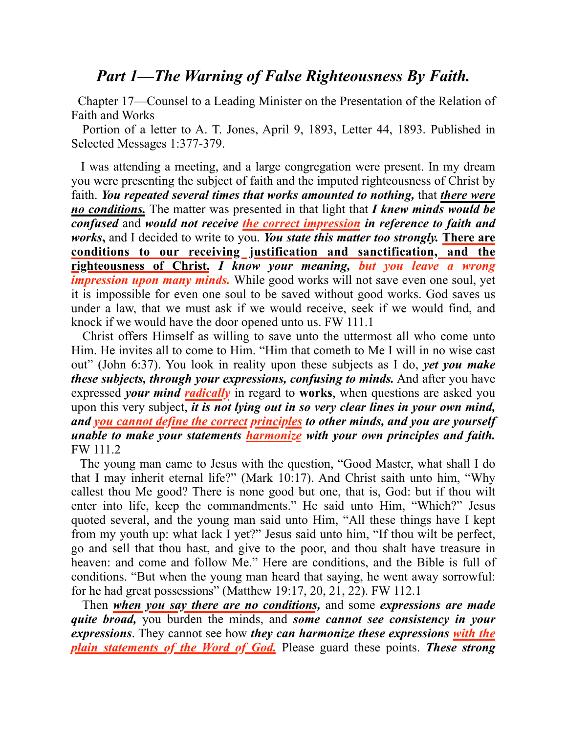## *Part 1—The Warning of False Righteousness By Faith.*

 Chapter 17—Counsel to a Leading Minister on the Presentation of the Relation of Faith and Works

 Portion of a letter to A. T. Jones, April 9, 1893, Letter 44, 1893. Published in Selected Messages 1:377-379.

 I was attending a meeting, and a large congregation were present. In my dream you were presenting the subject of faith and the imputed righteousness of Christ by faith. *You repeated several times that works amounted to nothing,* that *there were no conditions.* The matter was presented in that light that *I knew minds would be confused* and *would not receive the correct impression in reference to faith and works***,** and I decided to write to you. *You state this matter too strongly.* **There are conditions to our receiving justification and sanctification, and the righteousness of Christ.** *I know your meaning, but you leave a wrong impression upon many minds.* While good works will not save even one soul, yet it is impossible for even one soul to be saved without good works. God saves us under a law, that we must ask if we would receive, seek if we would find, and knock if we would have the door opened unto us. FW 111.1

 Christ offers Himself as willing to save unto the uttermost all who come unto Him. He invites all to come to Him. "Him that cometh to Me I will in no wise cast out" (John 6:37). You look in reality upon these subjects as I do, *yet you make these subjects, through your expressions, confusing to minds.* And after you have expressed *your mind radically* in regard to **works**, when questions are asked you upon this very subject, *it is not lying out in so very clear lines in your own mind, and you cannot define the correct principles to other minds, and you are yourself unable to make your statements harmonize with your own principles and faith.* FW 111.2

 The young man came to Jesus with the question, "Good Master, what shall I do that I may inherit eternal life?" (Mark 10:17). And Christ saith unto him, "Why callest thou Me good? There is none good but one, that is, God: but if thou wilt enter into life, keep the commandments." He said unto Him, "Which?" Jesus quoted several, and the young man said unto Him, "All these things have I kept from my youth up: what lack I yet?" Jesus said unto him, "If thou wilt be perfect, go and sell that thou hast, and give to the poor, and thou shalt have treasure in heaven: and come and follow Me." Here are conditions, and the Bible is full of conditions. "But when the young man heard that saying, he went away sorrowful: for he had great possessions" (Matthew 19:17, 20, 21, 22). FW 112.1

 Then *when you say there are no conditions,* and some *expressions are made quite broad,* you burden the minds, and *some cannot see consistency in your expressions*. They cannot see how *they can harmonize these expressions with the plain statements of the Word of God.* Please guard these points. *These strong*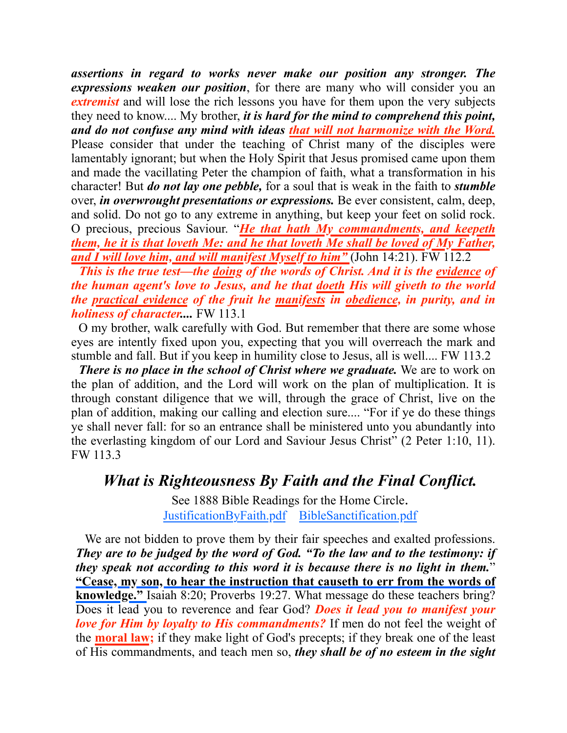*assertions in regard to works never make our position any stronger. The expressions weaken our position*, for there are many who will consider you an *extremist* and will lose the rich lessons you have for them upon the very subjects they need to know.... My brother, *it is hard for the mind to comprehend this point, and do not confuse any mind with ideas that will not harmonize with the Word.* Please consider that under the teaching of Christ many of the disciples were lamentably ignorant; but when the Holy Spirit that Jesus promised came upon them and made the vacillating Peter the champion of faith, what a transformation in his character! But *do not lay one pebble,* for a soul that is weak in the faith to *stumble* over, *in overwrought presentations or expressions.* Be ever consistent, calm, deep, and solid. Do not go to any extreme in anything, but keep your feet on solid rock. O precious, precious Saviour. "*He that hath My commandments, and keepeth them, he it is that loveth Me: and he that loveth Me shall be loved of My Father, and I will love him, and will manifest Myself to him"* (John 14:21). FW 112.2

 *This is the true test—the doing of the words of Christ. And it is the evidence of the human agent's love to Jesus, and he that doeth His will giveth to the world the practical evidence of the fruit he manifests in obedience, in purity, and in holiness of character....* FW 113.1

 O my brother, walk carefully with God. But remember that there are some whose eyes are intently fixed upon you, expecting that you will overreach the mark and stumble and fall. But if you keep in humility close to Jesus, all is well.... FW 113.2

 *There is no place in the school of Christ where we graduate.* We are to work on the plan of addition, and the Lord will work on the plan of multiplication. It is through constant diligence that we will, through the grace of Christ, live on the plan of addition, making our calling and election sure.... "For if ye do these things ye shall never fall: for so an entrance shall be ministered unto you abundantly into the everlasting kingdom of our Lord and Saviour Jesus Christ" (2 Peter 1:10, 11). FW 113.3

## *What is Righteousness By Faith and the Final Conflict.*

See 1888 Bible Readings for the Home Circle. [JustificationByFai](https://sdapillars.org/media/download_gallery/JustificationbyFaith.pdf)th.pdf [BibleSanctification.pdf](https://sdapillars.org/media/download_gallery/BibleSanctification.pdf)

We are not bidden to prove them by their fair speeches and exalted professions. *They are to be judged by the word of God. "To the law and to the testimony: if they speak not according to this word it is because there is no light in them.*" **"Cease, my son, to hear the instruction that causeth to err from the words of knowledge."** [Isaiah 8:20](1965.36367); [Proverbs 19:27.](1965.34574) What message do these teachers bring? Does it lead you to reverence and fear God? *Does it lead you to manifest your love for Him by loyalty to His commandments?* If men do not feel the weight of the **moral law;** if they make light of God's precepts; if they break one of the least of His commandments, and teach men so, *they shall be of no esteem in the sight*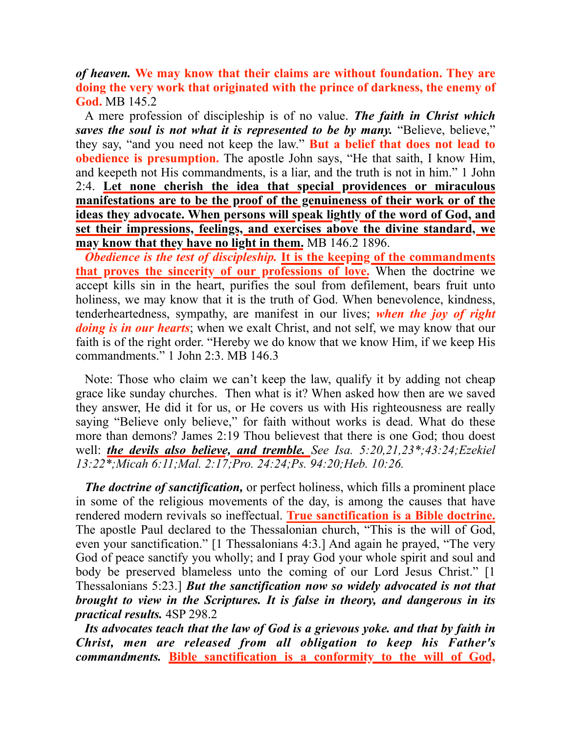*of heaven.* **We may know that their claims are without foundation. They are doing the very work that originated with the prince of darkness, the enemy of God.** MB 145.2

A mere profession of discipleship is of no value. *The faith in Christ which saves the soul is not what it is represented to be by many.* "Believe, believe," they say, "and you need not keep the law." **But a belief that does not lead to obedience is presumption.** The apostle John says, "He that saith, I know Him, and keepeth not His commandments, is a liar, and the truth is not in him." [1 John](1965.62334) [2:4](1965.62334). **Let none cherish the idea that special providences or miraculous manifestations are to be the proof of the genuineness of their work or of the ideas they advocate. When persons will speak lightly of the word of God, and set their impressions, feelings, and exercises above the divine standard, we may know that they have no light in them.** MB 146.2 1896.

*Obedience is the test of discipleship.* **It is the keeping of the commandments that proves the sincerity of our professions of love.** When the doctrine we accept kills sin in the heart, purifies the soul from defilement, bears fruit unto holiness, we may know that it is the truth of God. When benevolence, kindness, tenderheartedness, sympathy, are manifest in our lives; *when the joy of right doing is in our hearts*; when we exalt Christ, and not self, we may know that our faith is of the right order. "Hereby we do know that we know Him, if we keep His commandments." [1 John 2:3.](1965.62332) MB 146.3

Note: Those who claim we can't keep the law, qualify it by adding not cheap grace like sunday churches. Then what is it? When asked how then are we saved they answer, He did it for us, or He covers us with His righteousness are really saying "Believe only believe," for faith without works is dead. What do these more than demons? James 2:19 Thou believest that there is one God; thou doest well: *the devils also believe, and tremble. See Isa. 5:20,21,23\*;43:24;Ezekiel 13:22\*;Micah 6:11;Mal. 2:17;Pro. 24:24;Ps. 94:20;Heb. 10:26.*

*The doctrine of sanctification,* or perfect holiness, which fills a prominent place in some of the religious movements of the day, is among the causes that have rendered modern revivals so ineffectual. **True sanctification is a Bible doctrine.** The apostle Paul declared to the Thessalonian church, "This is the will of God, even your sanctification." [\[1 Thessalonians 4:3.](1965.60382)] And again he prayed, "The very God of peace sanctify you wholly; and I pray God your whole spirit and soul and body be preserved blameless unto the coming of our Lord Jesus Christ." [\[1](1965.60459) [Thessalonians 5:23](1965.60459).] *But the sanctification now so widely advocated is not that brought to view in the Scriptures. It is false in theory, and dangerous in its practical results.* 4SP 298.2

Its advocates teach that the law of God is a grievous yoke, and that by faith in *Christ, men are released from all obligation to keep his Father's commandments.* **Bible sanctification is a conformity to the will of God,**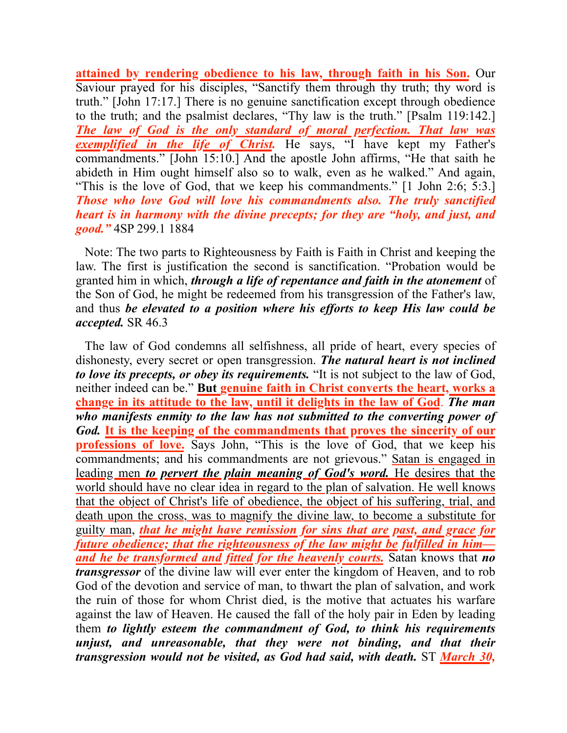**attained by rendering obedience to his law, through faith in his Son.** Our Saviour prayed for his disciples, "Sanctify them through thy truth; thy word is truth." [\[John 17:17](1965.54612).] There is no genuine sanctification except through obedience to the truth; and the psalmist declares, "Thy law is the truth." [\[Psalm 119:142](1965.32699).] *The law of God is the only standard of moral perfection. That law was exemplified in the life of Christ.* He says, "I have kept my Father's commandments." [\[John 15:10](1965.54476).] And the apostle John affirms, "He that saith he abideth in Him ought himself also so to walk, even as he walked." And again, "This is the love of God, that we keep his commandments." [\[1 John 2:6](1965.62338); [5:3](1965.62483).] *Those who love God will love his commandments also. The truly sanctified heart is in harmony with the divine precepts; for they are "holy, and just, and good."* 4SP 299.1 1884

Note: The two parts to Righteousness by Faith is Faith in Christ and keeping the law. The first is justification the second is sanctification. "Probation would be granted him in which, *through a life of repentance and faith in the atonement* of the Son of God, he might be redeemed from his transgression of the Father's law, and thus *be elevated to a position where his efforts to keep His law could be accepted.* SR 46.3

The law of God condemns all selfishness, all pride of heart, every species of dishonesty, every secret or open transgression. *The natural heart is not inclined to love its precepts, or obey its requirements.* "It is not subject to the law of God, neither indeed can be." **But genuine faith in Christ converts the heart, works a change in its attitude to the law, until it delights in the law of God**. *The man who manifests enmity to the law has not submitted to the converting power of God.* **It is the keeping of the commandments that proves the sincerity of our professions of love.** Says John, "This is the love of God, that we keep his commandments; and his commandments are not grievous." Satan is engaged in leading men *to pervert the plain meaning of God's word.* He desires that the world should have no clear idea in regard to the plan of salvation. He well knows that the object of Christ's life of obedience, the object of his suffering, trial, and death upon the cross, was to magnify the divine law, to become a substitute for guilty man, *that he might have remission for sins that are past, and grace for future obedience; that the righteousness of the law might be fulfilled in him and he be transformed and fitted for the heavenly courts.* Satan knows that *no transgressor* of the divine law will ever enter the kingdom of Heaven, and to rob God of the devotion and service of man, to thwart the plan of salvation, and work the ruin of those for whom Christ died, is the motive that actuates his warfare against the law of Heaven. He caused the fall of the holy pair in Eden by leading them *to lightly esteem the commandment of God, to think his requirements unjust, and unreasonable, that they were not binding, and that their transgression would not be visited, as God had said, with death.* ST *March 30,*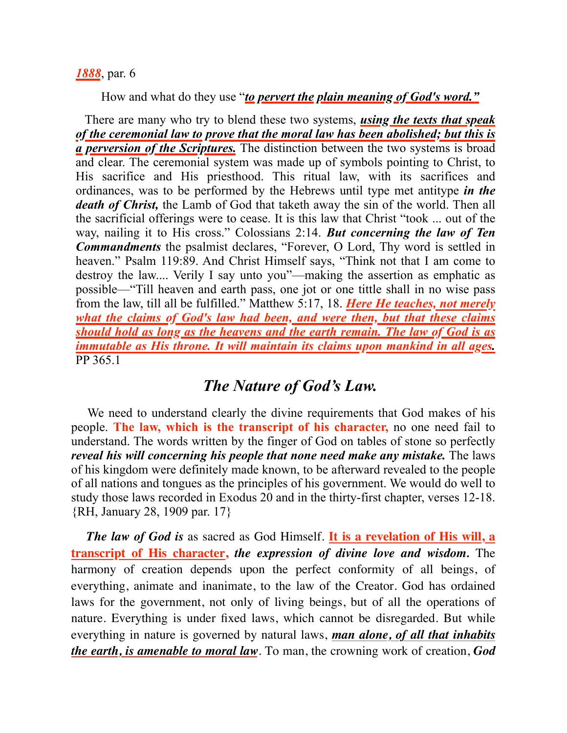#### *1888*, par. 6

How and what do they use "*to pervert the plain meaning of God's word."*

There are many who try to blend these two systems, *using the texts that speak of the ceremonial law to prove that the moral law has been abolished; but this is a perversion of the Scriptures.* The distinction between the two systems is broad and clear. The ceremonial system was made up of symbols pointing to Christ, to His sacrifice and His priesthood. This ritual law, with its sacrifices and ordinances, was to be performed by the Hebrews until type met antitype *in the death of Christ,* the Lamb of God that taketh away the sin of the world. Then all the sacrificial offerings were to cease. It is this law that Christ "took ... out of the way, nailing it to His cross." [Colossians 2:14.](1965.60179) *But concerning the law of Ten Commandments* the psalmist declares, "Forever, O Lord, Thy word is settled in heaven." [Psalm 119:89](1965.32593). And Christ Himself says, "Think not that I am come to destroy the law.... Verily I say unto you"—making the assertion as emphatic as possible—"Till heaven and earth pass, one jot or one tittle shall in no wise pass from the law, till all be fulfilled." [Matthew 5:17, 18.](1965.47479) *Here He teaches, not merely what the claims of God's law had been, and were then, but that these claims should hold as long as the heavens and the earth remain. The law of God is as immutable as His throne. It will maintain its claims upon mankind in all ages.* PP 365.1

## *The Nature of God's Law.*

 We need to understand clearly the divine requirements that God makes of his people. **The law, which is the transcript of his character,** no one need fail to understand. The words written by the finger of God on tables of stone so perfectly *reveal his will concerning his people that none need make any mistake.* The laws of his kingdom were definitely made known, to be afterward revealed to the people of all nations and tongues as the principles of his government. We would do well to study those laws recorded in Exodus 20 and in the thirty-first chapter, verses 12-18. {RH, January 28, 1909 par. 17}

 *The law of God is* as sacred as God Himself. **It is a revelation of His will, a transcript of His character,** *the expression of divine love and wisdom.* The harmony of creation depends upon the perfect conformity of all beings, of everything, animate and inanimate, to the law of the Creator. God has ordained laws for the government, not only of living beings, but of all the operations of nature. Everything is under fixed laws, which cannot be disregarded. But while everything in nature is governed by natural laws, *man alone, of all that inhabits the earth, is amenable to moral law*. To man, the crowning work of creation, *God*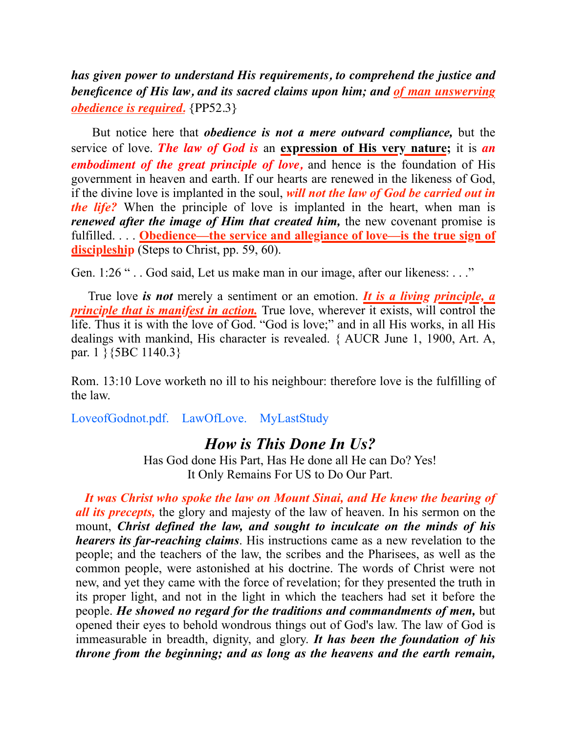*has given power to understand His requirements, to comprehend the justice and beneficence of His law, and its sacred claims upon him; and of man unswerving obedience is required.* {PP52.3}

 But notice here that *obedience is not a mere outward compliance,* but the service of love. *The law of God is* an **expression of His very nature;** it is *an embodiment of the great principle of love,* and hence is the foundation of His government in heaven and earth. If our hearts are renewed in the likeness of God, if the divine love is implanted in the soul, *will not the law of God be carried out in the life?* When the principle of love is implanted in the heart, when man is *renewed after the image of Him that created him,* the new covenant promise is fulfilled. . . . **Obedience—the service and allegiance of love—is the true sign of discipleship** (Steps to Christ, pp. 59, 60).

Gen. 1:26 ".. God said, Let us make man in our image, after our likeness: ..."

 True love *is not* merely a sentiment or an emotion. *It is a living principle, a principle that is manifest in action.* True love, wherever it exists, will control the life. Thus it is with the love of God. "God is love;" and in all His works, in all His dealings with mankind, His character is revealed. { AUCR June 1, 1900, Art. A, par. 1 }{5BC 1140.3}

Rom. 13:10 Love worketh no ill to his neighbour: therefore love is the fulfilling of the law.

[LoveofGodnot.pdf](https://sdapillars.org/media/LoveofGodnot.pdf). [LawOfLove](https://sdapillars.org/media/LawOfLove.pdf). [MyLastStudy](https://sdapillars.org/media/MyLastStudy.pdf)

### *How is This Done In Us?*

Has God done His Part, Has He done all He can Do? Yes! It Only Remains For US to Do Our Part.

*It was Christ who spoke the law on Mount Sinai, and He knew the bearing of all its precepts,* the glory and majesty of the law of heaven. In his sermon on the mount, *Christ defined the law, and sought to inculcate on the minds of his hearers its far-reaching claims*. His instructions came as a new revelation to the people; and the teachers of the law, the scribes and the Pharisees, as well as the common people, were astonished at his doctrine. The words of Christ were not new, and yet they came with the force of revelation; for they presented the truth in its proper light, and not in the light in which the teachers had set it before the people. *He showed no regard for the traditions and commandments of men,* but opened their eyes to behold wondrous things out of God's law. The law of God is immeasurable in breadth, dignity, and glory. *It has been the foundation of his throne from the beginning; and as long as the heavens and the earth remain,*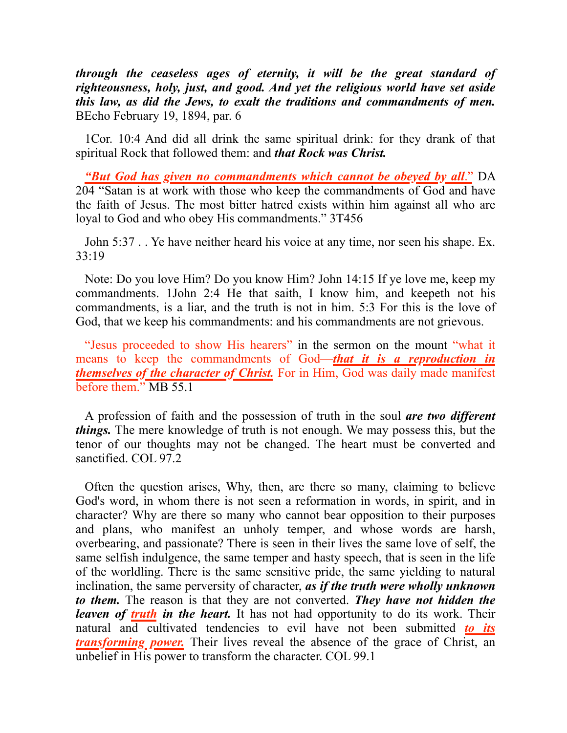*through the ceaseless ages of eternity, it will be the great standard of righteousness, holy, just, and good. And yet the religious world have set aside this law, as did the Jews, to exalt the traditions and commandments of men.* BEcho February 19, 1894, par. 6

1Cor. 10:4 And did all drink the same spiritual drink: for they drank of that spiritual Rock that followed them: and *that Rock was Christ.*

*"But God has given no commandments which cannot be obeyed by all*." DA 204 "Satan is at work with those who keep the commandments of God and have the faith of Jesus. The most bitter hatred exists within him against all who are loyal to God and who obey His commandments." 3T456

John 5:37 . . Ye have neither heard his voice at any time, nor seen his shape. Ex. 33:19

Note: Do you love Him? Do you know Him? John 14:15 If ye love me, keep my commandments. 1John 2:4 He that saith, I know him, and keepeth not his commandments, is a liar, and the truth is not in him. 5:3 For this is the love of God, that we keep his commandments: and his commandments are not grievous.

"Jesus proceeded to show His hearers" in the sermon on the mount "what it means to keep the commandments of God—*that it is a reproduction in themselves of the character of Christ.* For in Him, God was daily made manifest before them." MB 55.1

A profession of faith and the possession of truth in the soul *are two different things.* The mere knowledge of truth is not enough. We may possess this, but the tenor of our thoughts may not be changed. The heart must be converted and sanctified. COL 97.2

Often the question arises, Why, then, are there so many, claiming to believe God's word, in whom there is not seen a reformation in words, in spirit, and in character? Why are there so many who cannot bear opposition to their purposes and plans, who manifest an unholy temper, and whose words are harsh, overbearing, and passionate? There is seen in their lives the same love of self, the same selfish indulgence, the same temper and hasty speech, that is seen in the life of the worldling. There is the same sensitive pride, the same yielding to natural inclination, the same perversity of character, *as if the truth were wholly unknown to them.* The reason is that they are not converted. *They have not hidden the leaven of truth in the heart.* It has not had opportunity to do its work. Their natural and cultivated tendencies to evil have not been submitted *to its transforming power.* Their lives reveal the absence of the grace of Christ, an unbelief in His power to transform the character. COL 99.1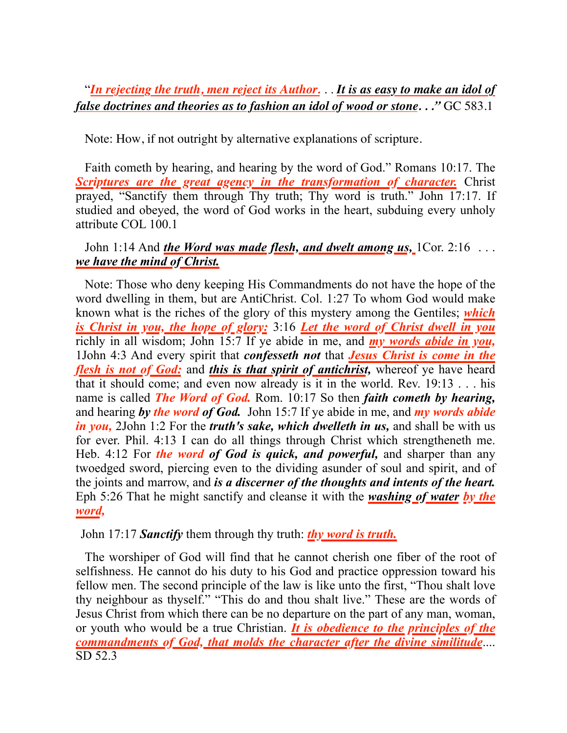### "*In rejecting the truth, men reject its Author.* . . *It is as easy to make an idol of false doctrines and theories as to fashion an idol of wood or stone. . ."* GC 583.1

Note: How, if not outright by alternative explanations of scripture.

Faith cometh by hearing, and hearing by the word of God." Romans 10:17. The *Scriptures are the great agency in the transformation of character.* Christ prayed, "Sanctify them through Thy truth; Thy word is truth." John 17:17. If studied and obeyed, the word of God works in the heart, subduing every unholy attribute COL 100.1

### John 1:14 And *the Word was made flesh, and dwelt among us,* 1Cor. 2:16 ... *we have the mind of Christ.*

Note: Those who deny keeping His Commandments do not have the hope of the word dwelling in them, but are AntiChrist. Col. 1:27 To whom God would make known what is the riches of the glory of this mystery among the Gentiles; *which is Christ in you, the hope of glory:* 3:16 *Let the word of Christ dwell in you* richly in all wisdom; John 15:7 If ye abide in me, and *my words abide in you,* 1John 4:3 And every spirit that *confesseth not* that *Jesus Christ is come in the flesh is not of God:* and *this is that spirit of antichrist,* whereof ye have heard that it should come; and even now already is it in the world. Rev. 19:13 . . . his name is called *The Word of God.* Rom. 10:17 So then *faith cometh by hearing,*  and hearing *by the word of God.* John 15:7 If ye abide in me, and *my words abide in you,* 2John 1:2 For the *truth's sake, which dwelleth in us,* and shall be with us for ever. Phil. 4:13 I can do all things through Christ which strengtheneth me. Heb. 4:12 For *the word of God is quick, and powerful,* and sharper than any twoedged sword, piercing even to the dividing asunder of soul and spirit, and of the joints and marrow, and *is a discerner of the thoughts and intents of the heart.*  Eph 5:26 That he might sanctify and cleanse it with the *washing of water by the word,*

### John 17:17 *Sanctify* them through thy truth: *thy word is truth.*

The worshiper of God will find that he cannot cherish one fiber of the root of selfishness. He cannot do his duty to his God and practice oppression toward his fellow men. The second principle of the law is like unto the first, "Thou shalt love thy neighbour as thyself." "This do and thou shalt live." These are the words of Jesus Christ from which there can be no departure on the part of any man, woman, or youth who would be a true Christian. *It is obedience to the principles of the commandments of God, that molds the character after the divine similitude*.... SD 52.3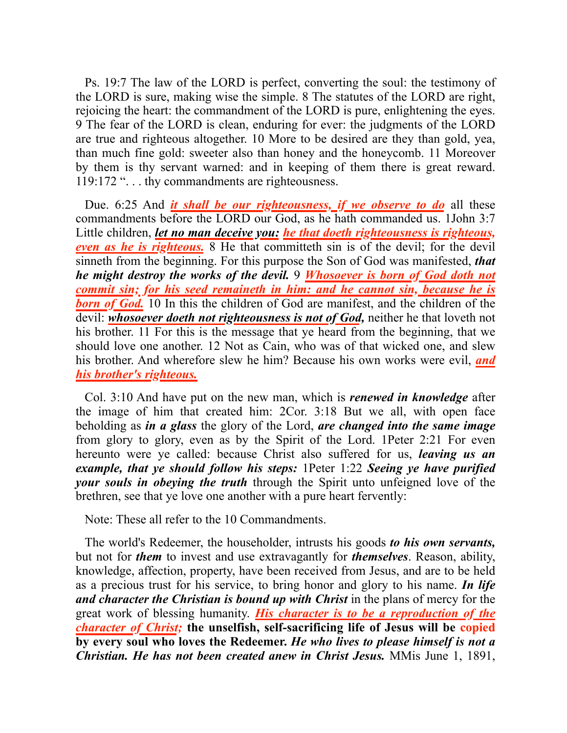Ps. 19:7 The law of the LORD is perfect, converting the soul: the testimony of the LORD is sure, making wise the simple. 8 The statutes of the LORD are right, rejoicing the heart: the commandment of the LORD is pure, enlightening the eyes. 9 The fear of the LORD is clean, enduring for ever: the judgments of the LORD are true and righteous altogether. 10 More to be desired are they than gold, yea, than much fine gold: sweeter also than honey and the honeycomb. 11 Moreover by them is thy servant warned: and in keeping of them there is great reward. 119:172 "... thy commandments are righteousness.

Due. 6:25 And *it shall be our righteousness, if we observe to do* all these commandments before the LORD our God, as he hath commanded us. 1John 3:7 Little children, *let no man deceive you: he that doeth righteousness is righteous, even as he is righteous.* 8 He that committeth sin is of the devil; for the devil sinneth from the beginning. For this purpose the Son of God was manifested, *that he might destroy the works of the devil.* 9 *Whosoever is born of God doth not commit sin; for his seed remaineth in him: and he cannot sin, because he is*  **born of God.** 10 In this the children of God are manifest, and the children of the devil: *whosoever doeth not righteousness is not of God,* neither he that loveth not his brother. 11 For this is the message that ye heard from the beginning, that we should love one another. 12 Not as Cain, who was of that wicked one, and slew his brother. And wherefore slew he him? Because his own works were evil, *and his brother's righteous.*

Col. 3:10 And have put on the new man, which is *renewed in knowledge* after the image of him that created him: 2Cor. 3:18 But we all, with open face beholding as *in a glass* the glory of the Lord, *are changed into the same image* from glory to glory, even as by the Spirit of the Lord. 1Peter 2:21 For even hereunto were ye called: because Christ also suffered for us, *leaving us an example, that ye should follow his steps:* 1Peter 1:22 *Seeing ye have purified your souls in obeying the truth* through the Spirit unto unfeigned love of the brethren, see that ye love one another with a pure heart fervently:

Note: These all refer to the 10 Commandments.

The world's Redeemer, the householder, intrusts his goods *to his own servants,* but not for *them* to invest and use extravagantly for *themselves*. Reason, ability, knowledge, affection, property, have been received from Jesus, and are to be held as a precious trust for his service, to bring honor and glory to his name. *In life and character the Christian is bound up with Christ* in the plans of mercy for the great work of blessing humanity. *His character is to be a reproduction of the character of Christ;* **the unselfish, self-sacrificing life of Jesus will be copied by every soul who loves the Redeemer.** *He who lives to please himself is not a Christian. He has not been created anew in Christ Jesus.* MMis June 1, 1891,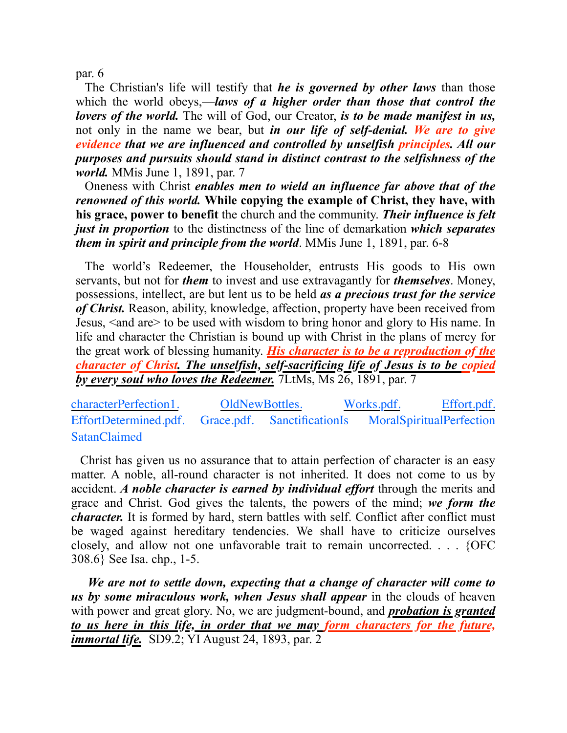par. 6

The Christian's life will testify that *he is governed by other laws* than those which the world obeys,—*laws of a higher order than those that control the lovers of the world.* The will of God, our Creator, *is to be made manifest in us,* not only in the name we bear, but *in our life of self-denial. We are to give evidence that we are influenced and controlled by unselfish principles. All our purposes and pursuits should stand in distinct contrast to the selfishness of the world.* MMis June 1, 1891, par. 7

Oneness with Christ *enables men to wield an influence far above that of the renowned of this world.* **While copying the example of Christ, they have, with his grace, power to benefit** the church and the community. *Their influence is felt just in proportion* to the distinctness of the line of demarkation *which separates them in spirit and principle from the world*. MMis June 1, 1891, par. 6-8

The world's Redeemer, the Householder, entrusts His goods to His own servants, but not for *them* to invest and use extravagantly for *themselves*. Money, possessions, intellect, are but lent us to be held *as a precious trust for the service of Christ.* Reason, ability, knowledge, affection, property have been received from Jesus, <and are> to be used with wisdom to bring honor and glory to His name. In life and character the Christian is bound up with Christ in the plans of mercy for the great work of blessing humanity. *His character is to be a reproduction of the character of Christ. The unselfish, self-sacrificing life of Jesus is to be copied by every soul who loves the Redeemer.* 7LtMs, Ms 26, 1891, par. 7

[characterPerfection1](https://sdapillars.org/media/characterPerfection1.pdf). [OldNewBottles](https://sdapillars.org/media/OldNewBottles.pdf). [Works.pdf](https://sdapillars.org/media/Works.pdf). [Effort.pdf.](https://sdapillars.org/media/Effort.pdf) [EffortDetermined.pdf](https://sdapillars.org/media/EffortDetermined.pdf). [Grace.pdf.](https://sdapillars.org/media/Grace.pdf) [SanctificationIs](https://sdapillars.org/media/SanctificationIs.pdf) [MoralSpiritualPerfection](https://sdapillars.org/media/MoralSpiritualPerfection.pdf) **[SatanClaimed](https://sdapillars.org/media/SatanClaimed.pdf)** 

 Christ has given us no assurance that to attain perfection of character is an easy matter. A noble, all-round character is not inherited. It does not come to us by accident. *A noble character is earned by individual effort* through the merits and grace and Christ. God gives the talents, the powers of the mind; *we form the character.* It is formed by hard, stern battles with self. Conflict after conflict must be waged against hereditary tendencies. We shall have to criticize ourselves closely, and allow not one unfavorable trait to remain uncorrected. . . . {OFC 308.6} See Isa. chp., 1-5.

 *We are not to settle down, expecting that a change of character will come to us by some miraculous work, when Jesus shall appear* in the clouds of heaven with power and great glory. No, we are judgment-bound, and *probation is granted to us here in this life, in order that we may form characters for the future, immortal life.* SD9.2; YI August 24, 1893, par. 2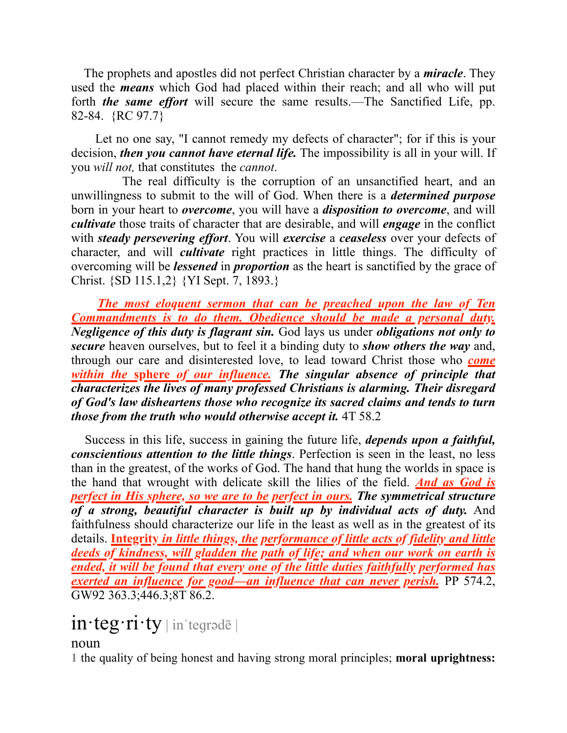The prophets and apostles did not perfect Christian character by a *miracle*. They used the *means* which God had placed within their reach; and all who will put forth *the same effort* will secure the same results.—The Sanctified Life, pp. 82-84. {RC 97.7}

 Let no one say, "I cannot remedy my defects of character"; for if this is your decision, *then you cannot have eternal life.* The impossibility is all in your will. If you *will not,* that constitutes the *cannot*.

 The real difficulty is the corruption of an unsanctified heart, and an unwillingness to submit to the will of God. When there is a *determined purpose* born in your heart to *overcome*, you will have a *disposition to overcome*, and will *cultivate* those traits of character that are desirable, and will *engage* in the conflict with *steady persevering effort*. You will *exercise* a *ceaseless* over your defects of character, and will *cultivate* right practices in little things. The difficulty of overcoming will be *lessened* in *proportion* as the heart is sanctified by the grace of Christ. {SD 115.1,2} {YI Sept. 7, 1893.}

 *The most eloquent sermon that can be preached upon the law of Ten Commandments is to do them. Obedience should be made a personal duty. Negligence of this duty is flagrant sin.* God lays us under *obligations not only to secure* heaven ourselves, but to feel it a binding duty to *show others the way* and, through our care and disinterested love, to lead toward Christ those who *come within the* **sphere** *of our influence. The singular absence of principle that characterizes the lives of many professed Christians is alarming. Their disregard of God's law disheartens those who recognize its sacred claims and tends to turn those from the truth who would otherwise accept it.* 4T 58.2

 Success in this life, success in gaining the future life, *depends upon a faithful, conscientious attention to the little things*. Perfection is seen in the least, no less than in the greatest, of the works of God. The hand that hung the worlds in space is the hand that wrought with delicate skill the lilies of the field. *And as God is perfect in His sphere, so we are to be perfect in ours. The symmetrical structure of a strong, beautiful character is built up by individual acts of duty.* And faithfulness should characterize our life in the least as well as in the greatest of its details. **Integrity** *in little things, the performance of little acts of fidelity and little deeds of kindness, will gladden the path of life; and when our work on earth is ended, it will be found that every one of the little duties faithfully performed has exerted an influence for good—an influence that can never perish.* PP 574.2, GW92 363.3;446.3;8T 86.2.

# $in$ **·teg·ri·ty** | in 'tegradē |

noun

**1** the quality of being honest and having strong moral principles; **moral uprightness:**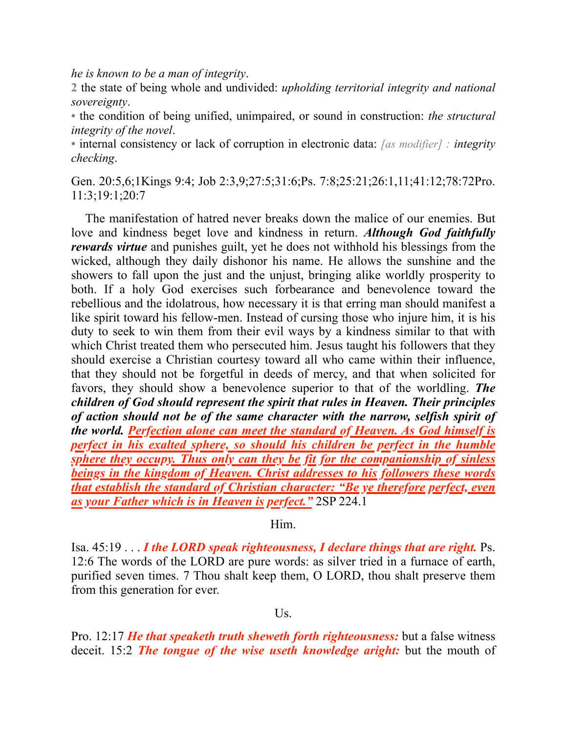*he is known to be a man of integrity*.

**2** the state of being whole and undivided: *upholding territorial integrity and national sovereignty*.

**•** the condition of being unified, unimpaired, or sound in construction: *the structural integrity of the novel*.

**•** internal consistency or lack of corruption in electronic data: *[as modifier] : integrity checking*.

Gen. 20:5,6;1Kings 9:4; Job 2:3,9;27:5;31:6;Ps. 7:8;25:21;26:1,11;41:12;78:72Pro. 11:3;19:1;20:7

 The manifestation of hatred never breaks down the malice of our enemies. But love and kindness beget love and kindness in return. *Although God faithfully rewards virtue* and punishes guilt, yet he does not withhold his blessings from the wicked, although they daily dishonor his name. He allows the sunshine and the showers to fall upon the just and the unjust, bringing alike worldly prosperity to both. If a holy God exercises such forbearance and benevolence toward the rebellious and the idolatrous, how necessary it is that erring man should manifest a like spirit toward his fellow-men. Instead of cursing those who injure him, it is his duty to seek to win them from their evil ways by a kindness similar to that with which Christ treated them who persecuted him. Jesus taught his followers that they should exercise a Christian courtesy toward all who came within their influence, that they should not be forgetful in deeds of mercy, and that when solicited for favors, they should show a benevolence superior to that of the worldling. *The children of God should represent the spirit that rules in Heaven. Their principles of action should not be of the same character with the narrow, selfish spirit of the world. Perfection alone can meet the standard of Heaven. As God himself is perfect in his exalted sphere, so should his children be perfect in the humble sphere they occupy. Thus only can they be fit for the companionship of sinless beings in the kingdom of Heaven. Christ addresses to his followers these words that establish the standard of Christian character: "Be ye therefore perfect, even as your Father which is in Heaven is perfect."* 2SP 224.1

Him.

Isa. 45:19 . . . *I the LORD speak righteousness, I declare things that are right.* **Ps.** 12:6 The words of the LORD are pure words: as silver tried in a furnace of earth, purified seven times. 7 Thou shalt keep them, O LORD, thou shalt preserve them from this generation for ever.

 $Us$ .

Pro. 12:17 *He that speaketh truth sheweth forth righteousness:* but a false witness deceit. 15:2 *The tongue of the wise useth knowledge aright:* but the mouth of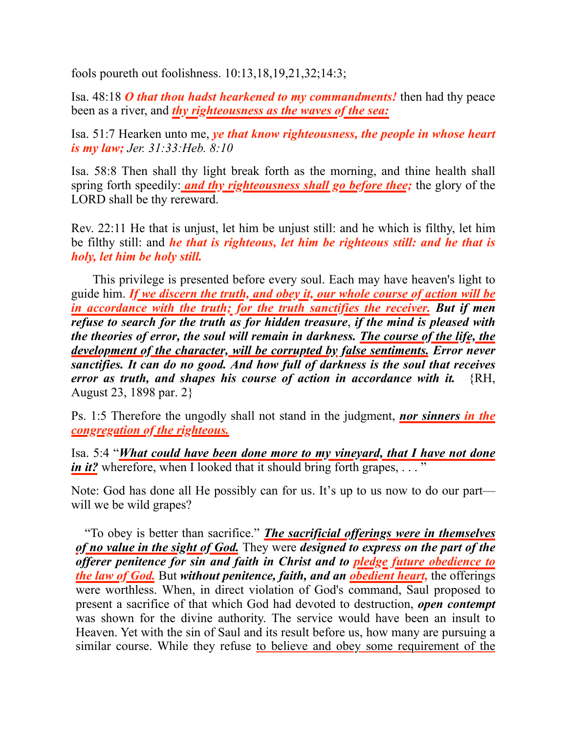fools poureth out foolishness. 10:13,18,19,21,32;14:3;

Isa. 48:18 *O that thou hadst hearkened to my commandments!* then had thy peace been as a river, and *thy righteousness as the waves of the sea:* 

Isa. 51:7 Hearken unto me, *ye that know righteousness, the people in whose heart is my law; Jer. 31:33:Heb. 8:10*

Isa. 58:8 Then shall thy light break forth as the morning, and thine health shall spring forth speedily: *and thy righteousness shall go before thee;* the glory of the LORD shall be thy rereward.

Rev. 22:11 He that is unjust, let him be unjust still: and he which is filthy, let him be filthy still: and *he that is righteous, let him be righteous still: and he that is holy, let him be holy still.*

 This privilege is presented before every soul. Each may have heaven's light to guide him. *If we discern the truth, and obey it, our whole course of action will be in accordance with the truth; for the truth sanctifies the receiver. But if men refuse to search for the truth as for hidden treasure*, *if the mind is pleased with the theories of error, the soul will remain in darkness. The course of the life, the development of the character, will be corrupted by false sentiments. Error never sanctifies. It can do no good. And how full of darkness is the soul that receives error as truth, and shapes his course of action in accordance with it.* {RH, August 23, 1898 par. 2}

Ps. 1:5 Therefore the ungodly shall not stand in the judgment, *nor sinners in the congregation of the righteous.*

Isa. 5:4 "*What could have been done more to my vineyard, that I have not done in it?* wherefore, when I looked that it should bring forth grapes, ..."

Note: God has done all He possibly can for us. It's up to us now to do our part will we be wild grapes?

"To obey is better than sacrifice." *The sacrificial offerings were in themselves of no value in the sight of God.* They were *designed to express on the part of the offerer penitence for sin and faith in Christ and to pledge future obedience to the law of God.* But *without penitence, faith, and an obedient heart,* the offerings were worthless. When, in direct violation of God's command, Saul proposed to present a sacrifice of that which God had devoted to destruction, *open contempt* was shown for the divine authority. The service would have been an insult to Heaven. Yet with the sin of Saul and its result before us, how many are pursuing a similar course. While they refuse to believe and obey some requirement of the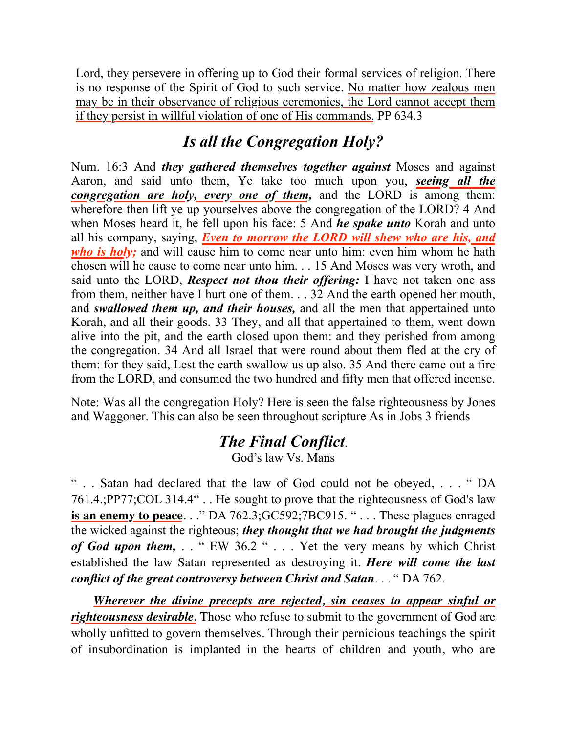Lord, they persevere in offering up to God their formal services of religion. There is no response of the Spirit of God to such service. No matter how zealous men may be in their observance of religious ceremonies, the Lord cannot accept them if they persist in willful violation of one of His commands. PP 634.3

## *Is all the Congregation Holy?*

Num. 16:3 And *they gathered themselves together against* Moses and against Aaron, and said unto them, Ye take too much upon you, *seeing all the congregation are holy, every one of them,* and the LORD is among them: wherefore then lift ye up yourselves above the congregation of the LORD? 4 And when Moses heard it, he fell upon his face: 5 And *he spake unto* Korah and unto all his company, saying, *Even to morrow the LORD will shew who are his, and who is holy*; and will cause him to come near unto him: even him whom he hath chosen will he cause to come near unto him. . . 15 And Moses was very wroth, and said unto the LORD, *Respect not thou their offering:* I have not taken one ass from them, neither have I hurt one of them. . . 32 And the earth opened her mouth, and *swallowed them up, and their houses,* and all the men that appertained unto Korah, and all their goods. 33 They, and all that appertained to them, went down alive into the pit, and the earth closed upon them: and they perished from among the congregation. 34 And all Israel that were round about them fled at the cry of them: for they said, Lest the earth swallow us up also. 35 And there came out a fire from the LORD, and consumed the two hundred and fifty men that offered incense.

Note: Was all the congregation Holy? Here is seen the false righteousness by Jones and Waggoner. This can also be seen throughout scripture As in Jobs 3 friends

# *The Final Conflict*.

God's law Vs. Mans

" . . Satan had declared that the law of God could not be obeyed, . . . " DA 761.4.;PP77;COL 314.4" . . He sought to prove that the righteousness of God's law **is an enemy to peace.** . ." DA 762.3; GC592; 7BC915. " . . . These plagues enraged the wicked against the righteous; *they thought that we had brought the judgments of God upon them,* . . " EW 36.2 " . . . Yet the very means by which Christ established the law Satan represented as destroying it. *Here will come the last conflict of the great controversy between Christ and Satan*. . . " DA 762.

 *Wherever the divine precepts are rejected, sin ceases to appear sinful or righteousness desirable.* Those who refuse to submit to the government of God are wholly unfitted to govern themselves. Through their pernicious teachings the spirit of insubordination is implanted in the hearts of children and youth, who are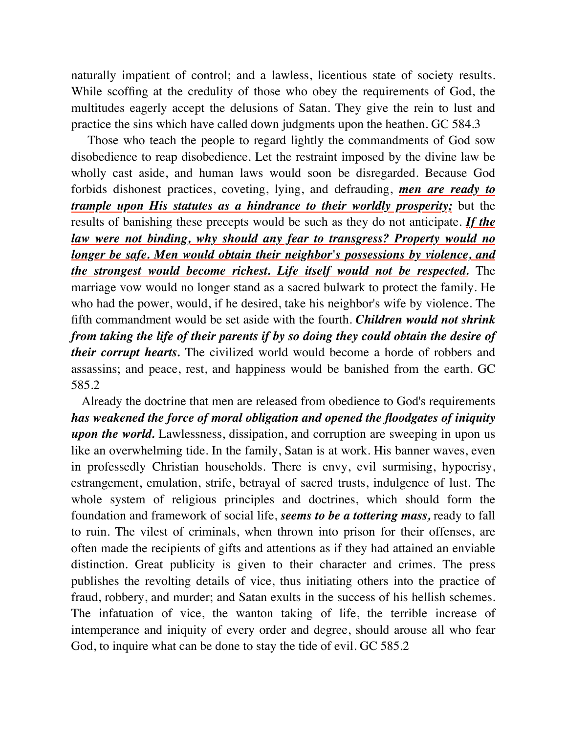naturally impatient of control; and a lawless, licentious state of society results. While scoffing at the credulity of those who obey the requirements of God, the multitudes eagerly accept the delusions of Satan. They give the rein to lust and practice the sins which have called down judgments upon the heathen. GC 584.3

 Those who teach the people to regard lightly the commandments of God sow disobedience to reap disobedience. Let the restraint imposed by the divine law be wholly cast aside, and human laws would soon be disregarded. Because God forbids dishonest practices, coveting, lying, and defrauding, *men are ready to trample upon His statutes as a hindrance to their worldly prosperity;* but the results of banishing these precepts would be such as they do not anticipate. *If the law were not binding, why should any fear to transgress? Property would no longer be safe. Men would obtain their neighbor's possessions by violence, and the strongest would become richest. Life itself would not be respected.* The marriage vow would no longer stand as a sacred bulwark to protect the family. He who had the power, would, if he desired, take his neighbor's wife by violence. The fifth commandment would be set aside with the fourth. *Children would not shrink from taking the life of their parents if by so doing they could obtain the desire of their corrupt hearts.* The civilized world would become a horde of robbers and assassins; and peace, rest, and happiness would be banished from the earth. GC 585.2

 Already the doctrine that men are released from obedience to God's requirements *has weakened the force of moral obligation and opened the floodgates of iniquity upon the world.* Lawlessness, dissipation, and corruption are sweeping in upon us like an overwhelming tide. In the family, Satan is at work. His banner waves, even in professedly Christian households. There is envy, evil surmising, hypocrisy, estrangement, emulation, strife, betrayal of sacred trusts, indulgence of lust. The whole system of religious principles and doctrines, which should form the foundation and framework of social life, *seems to be a tottering mass,* ready to fall to ruin. The vilest of criminals, when thrown into prison for their offenses, are often made the recipients of gifts and attentions as if they had attained an enviable distinction. Great publicity is given to their character and crimes. The press publishes the revolting details of vice, thus initiating others into the practice of fraud, robbery, and murder; and Satan exults in the success of his hellish schemes. The infatuation of vice, the wanton taking of life, the terrible increase of intemperance and iniquity of every order and degree, should arouse all who fear God, to inquire what can be done to stay the tide of evil. GC 585.2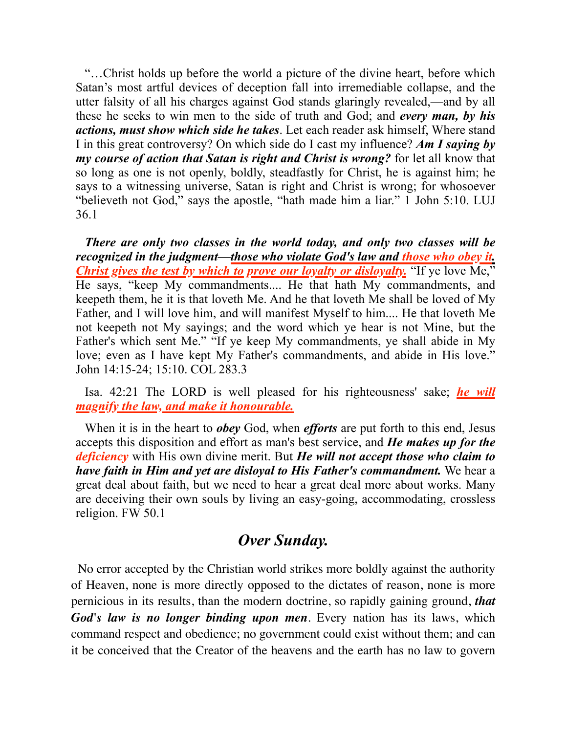"…Christ holds up before the world a picture of the divine heart, before which Satan's most artful devices of deception fall into irremediable collapse, and the utter falsity of all his charges against God stands glaringly revealed,—and by all these he seeks to win men to the side of truth and God; and *every man, by his actions, must show which side he takes*. Let each reader ask himself, Where stand I in this great controversy? On which side do I cast my influence? *Am I saying by my course of action that Satan is right and Christ is wrong?* for let all know that so long as one is not openly, boldly, steadfastly for Christ, he is against him; he says to a witnessing universe, Satan is right and Christ is wrong; for whosoever "believeth not God," says the apostle, "hath made him a liar." [1 John 5:10](1965.62497). LUJ 36.1

*There are only two classes in the world today, and only two classes will be recognized in the judgment—those who violate God's law and those who obey it. Christ gives the test by which to prove our loyalty or disloyalty.* "If ye love Me," He says, "keep My commandments.... He that hath My commandments, and keepeth them, he it is that loveth Me. And he that loveth Me shall be loved of My Father, and I will love him, and will manifest Myself to him.... He that loveth Me not keepeth not My sayings; and the word which ye hear is not Mine, but the Father's which sent Me." "If ye keep My commandments, ye shall abide in My love; even as I have kept My Father's commandments, and abide in His love." [John 14:15-24;](1965.54423) [15:10](1965.54476). COL 283.3

Isa. 42:21 The LORD is well pleased for his righteousness' sake; *he will magnify the law, and make it honourable.*

When it is in the heart to *obey* God, when *efforts* are put forth to this end, Jesus accepts this disposition and effort as man's best service, and *He makes up for the deficiency* with His own divine merit. But *He will not accept those who claim to have faith in Him and yet are disloyal to His Father's commandment.* We hear a great deal about faith, but we need to hear a great deal more about works. Many are deceiving their own souls by living an easy-going, accommodating, crossless religion. FW 50.1

## *Over Sunday.*

 No error accepted by the Christian world strikes more boldly against the authority of Heaven, none is more directly opposed to the dictates of reason, none is more pernicious in its results, than the modern doctrine, so rapidly gaining ground, *that God's law is no longer binding upon men*. Every nation has its laws, which command respect and obedience; no government could exist without them; and can it be conceived that the Creator of the heavens and the earth has no law to govern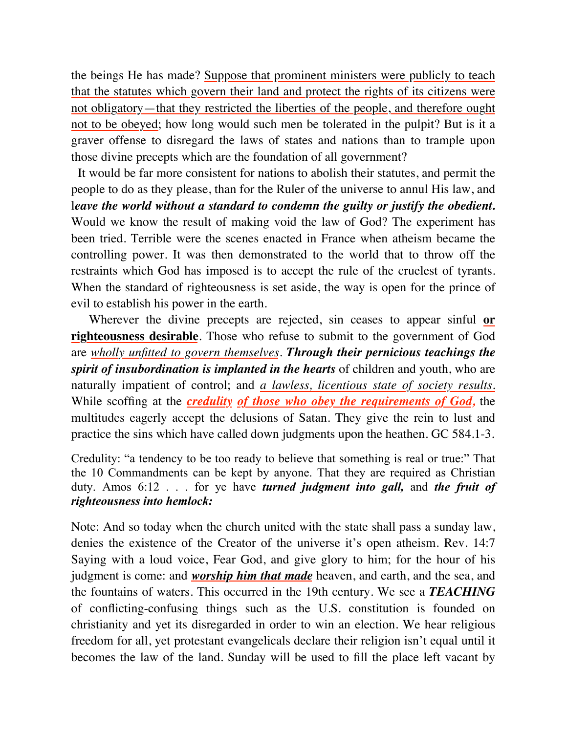the beings He has made? Suppose that prominent ministers were publicly to teach that the statutes which govern their land and protect the rights of its citizens were not obligatory—that they restricted the liberties of the people, and therefore ought not to be obeyed; how long would such men be tolerated in the pulpit? But is it a graver offense to disregard the laws of states and nations than to trample upon those divine precepts which are the foundation of all government?

 It would be far more consistent for nations to abolish their statutes, and permit the people to do as they please, than for the Ruler of the universe to annul His law, and leave the world without a standard to condemn the guilty or justify the obedient. Would we know the result of making void the law of God? The experiment has been tried. Terrible were the scenes enacted in France when atheism became the controlling power. It was then demonstrated to the world that to throw off the restraints which God has imposed is to accept the rule of the cruelest of tyrants. When the standard of righteousness is set aside, the way is open for the prince of evil to establish his power in the earth.

 Wherever the divine precepts are rejected, sin ceases to appear sinful **or righteousness desirable**. Those who refuse to submit to the government of God are *wholly unfitted to govern themselves*. *Through their pernicious teachings the spirit of insubordination is implanted in the hearts* of children and youth, who are naturally impatient of control; and *a lawless, licentious state of society results.* While scoffing at the *credulity of those who obey the requirements of God,* the multitudes eagerly accept the delusions of Satan. They give the rein to lust and practice the sins which have called down judgments upon the heathen. GC 584.1-3.

Credulity: "a tendency to be too ready to believe that something is real or true:" That the 10 Commandments can be kept by anyone. That they are required as Christian duty. Amos 6:12 . . . for ye have *turned judgment into gall,* and *the fruit of righteousness into hemlock:*

Note: And so today when the church united with the state shall pass a sunday law, denies the existence of the Creator of the universe it's open atheism. Rev. 14:7 Saying with a loud voice, Fear God, and give glory to him; for the hour of his judgment is come: and *worship him that made* heaven, and earth, and the sea, and the fountains of waters. This occurred in the 19th century. We see a *TEACHING* of conflicting-confusing things such as the U.S. constitution is founded on christianity and yet its disregarded in order to win an election. We hear religious freedom for all, yet protestant evangelicals declare their religion isn't equal until it becomes the law of the land. Sunday will be used to fill the place left vacant by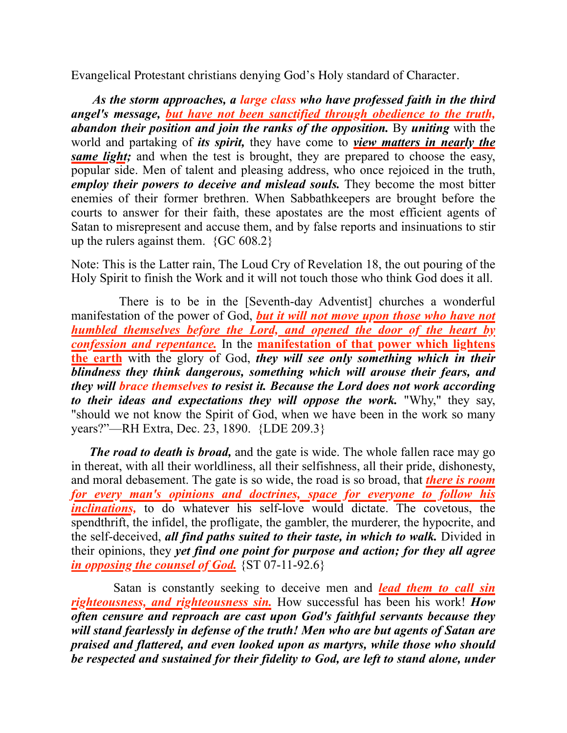Evangelical Protestant christians denying God's Holy standard of Character.

 *As the storm approaches, a large class who have professed faith in the third angel's message, but have not been sanctified through obedience to the truth, abandon their position and join the ranks of the opposition.* By *uniting* with the world and partaking of *its spirit,* they have come to *view matters in nearly the same light;* and when the test is brought, they are prepared to choose the easy, popular side. Men of talent and pleasing address, who once rejoiced in the truth, *employ their powers to deceive and mislead souls.* They become the most bitter enemies of their former brethren. When Sabbathkeepers are brought before the courts to answer for their faith, these apostates are the most efficient agents of Satan to misrepresent and accuse them, and by false reports and insinuations to stir up the rulers against them.  ${GC\,608.2}$ 

Note: This is the Latter rain, The Loud Cry of Revelation 18, the out pouring of the Holy Spirit to finish the Work and it will not touch those who think God does it all.

 There is to be in the [Seventh-day Adventist] churches a wonderful manifestation of the power of God, *but it will not move upon those who have not humbled themselves before the Lord, and opened the door of the heart by confession and repentance.* In the **manifestation of that power which lightens the earth** with the glory of God, *they will see only something which in their blindness they think dangerous, something which will arouse their fears, and they will brace themselves to resist it. Because the Lord does not work according to their ideas and expectations they will oppose the work.* "Why," they say, "should we not know the Spirit of God, when we have been in the work so many years?"—RH Extra, Dec. 23, 1890. {LDE 209.3}

 *The road to death is broad,* and the gate is wide. The whole fallen race may go in thereat, with all their worldliness, all their selfishness, all their pride, dishonesty, and moral debasement. The gate is so wide, the road is so broad, that *there is room for every man's opinions and doctrines, space for everyone to follow his inclinations*, to do whatever his self-love would dictate. The covetous, the spendthrift, the infidel, the profligate, the gambler, the murderer, the hypocrite, and the self-deceived, *all find paths suited to their taste, in which to walk.* Divided in their opinions, they *yet find one point for purpose and action; for they all agree in opposing the counsel of God.* {ST 07-11-92.6}

 Satan is constantly seeking to deceive men and *lead them to call sin righteousness, and righteousness sin.* How successful has been his work! *How often censure and reproach are cast upon God's faithful servants because they will stand fearlessly in defense of the truth! Men who are but agents of Satan are praised and flattered, and even looked upon as martyrs, while those who should be respected and sustained for their fidelity to God, are left to stand alone, under*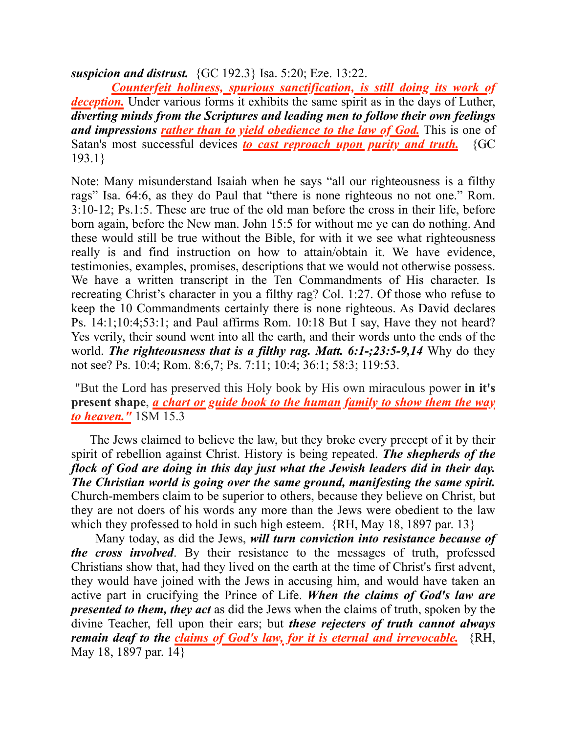*suspicion and distrust.* {GC 192.3} Isa. 5:20; Eze. 13:22.

 *Counterfeit holiness, spurious sanctification, is still doing its work of deception.* Under various forms it exhibits the same spirit as in the days of Luther, *diverting minds from the Scriptures and leading men to follow their own feelings and impressions rather than to yield obedience to the law of God.* This is one of Satan's most successful devices *to cast reproach upon purity and truth.* {GC 193.1}

Note: Many misunderstand Isaiah when he says "all our righteousness is a filthy rags" Isa. 64:6, as they do Paul that "there is none righteous no not one." Rom. 3:10-12; Ps.1:5. These are true of the old man before the cross in their life, before born again, before the New man. John 15:5 for without me ye can do nothing. And these would still be true without the Bible, for with it we see what righteousness really is and find instruction on how to attain/obtain it. We have evidence, testimonies, examples, promises, descriptions that we would not otherwise possess. We have a written transcript in the Ten Commandments of His character. Is recreating Christ's character in you a filthy rag? Col. 1:27. Of those who refuse to keep the 10 Commandments certainly there is none righteous. As David declares Ps. 14:1;10:4;53:1; and Paul affirms Rom. 10:18 But I say, Have they not heard? Yes verily, their sound went into all the earth, and their words unto the ends of the world. *The righteousness that is a filthy rag. Matt. 6:1-;23:5-9,14* Why do they not see? Ps. 10:4; Rom. 8:6,7; Ps. 7:11; 10:4; 36:1; 58:3; 119:53.

 "But the Lord has preserved this Holy book by His own miraculous power **in it's present shape**, *a chart or guide book to the human family to show them the way to heaven."* 1SM 15.3

 The Jews claimed to believe the law, but they broke every precept of it by their spirit of rebellion against Christ. History is being repeated. *The shepherds of the flock of God are doing in this day just what the Jewish leaders did in their day. The Christian world is going over the same ground, manifesting the same spirit.*  Church-members claim to be superior to others, because they believe on Christ, but they are not doers of his words any more than the Jews were obedient to the law which they professed to hold in such high esteem. {RH, May 18, 1897 par. 13}

 Many today, as did the Jews, *will turn conviction into resistance because of the cross involved*. By their resistance to the messages of truth, professed Christians show that, had they lived on the earth at the time of Christ's first advent, they would have joined with the Jews in accusing him, and would have taken an active part in crucifying the Prince of Life. *When the claims of God's law are presented to them, they act* as did the Jews when the claims of truth, spoken by the divine Teacher, fell upon their ears; but *these rejecters of truth cannot always remain deaf to the claims of God's law, for it is eternal and irrevocable.* {RH, May 18, 1897 par. 14}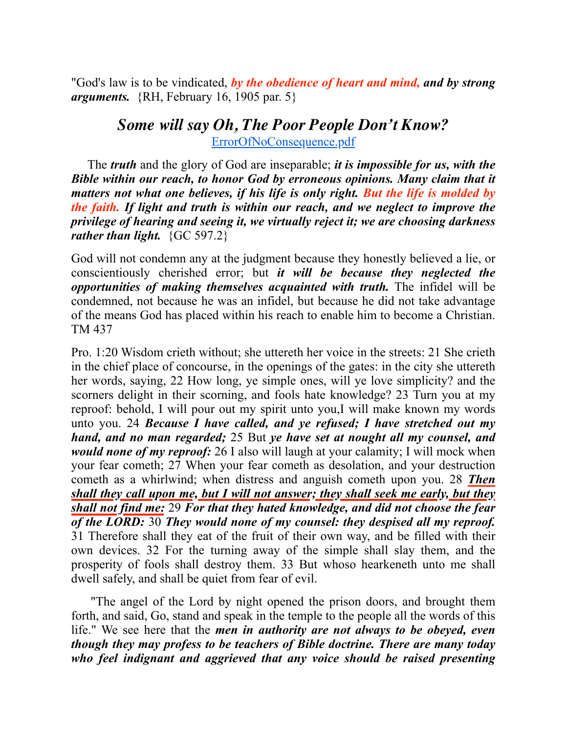"God's law is to be vindicated, *by the obedience of heart and mind, and by strong arguments.* {RH, February 16, 1905 par. 5}

### *Some will say Oh, The Poor People Don't Know?* [ErrorOfNoConsequence.pdf](https://sdapillars.org/media/ErrorOfNoConsequence.pdf)

 The *truth* and the glory of God are inseparable; *it is impossible for us, with the Bible within our reach, to honor God by erroneous opinions. Many claim that it matters not what one believes, if his life is only right. But the life is molded by the faith. If light and truth is within our reach, and we neglect to improve the privilege of hearing and seeing it, we virtually reject it; we are choosing darkness rather than light.* {GC 597.2}

God will not condemn any at the judgment because they honestly believed a lie, or conscientiously cherished error; but *it will be because they neglected the opportunities of making themselves acquainted with truth.* The infidel will be condemned, not because he was an infidel, but because he did not take advantage of the means God has placed within his reach to enable him to become a Christian. TM 437

Pro. 1:20 Wisdom crieth without; she uttereth her voice in the streets: 21 She crieth in the chief place of concourse, in the openings of the gates: in the city she uttereth her words, saying, 22 How long, ye simple ones, will ye love simplicity? and the scorners delight in their scorning, and fools hate knowledge? 23 Turn you at my reproof: behold, I will pour out my spirit unto you,I will make known my words unto you. 24 *Because I have called, and ye refused; I have stretched out my hand, and no man regarded;* 25 But *ye have set at nought all my counsel, and would none of my reproof:* 26 I also will laugh at your calamity; I will mock when your fear cometh; 27 When your fear cometh as desolation, and your destruction cometh as a whirlwind; when distress and anguish cometh upon you. 28 *Then shall they call upon me, but I will not answer; they shall seek me early, but they shall not find me:* 29 *For that they hated knowledge, and did not choose the fear of the LORD:* 30 *They would none of my counsel: they despised all my reproof.*  31 Therefore shall they eat of the fruit of their own way, and be filled with their own devices. 32 For the turning away of the simple shall slay them, and the prosperity of fools shall destroy them. 33 But whoso hearkeneth unto me shall dwell safely, and shall be quiet from fear of evil.

 "The angel of the Lord by night opened the prison doors, and brought them forth, and said, Go, stand and speak in the temple to the people all the words of this life." We see here that the *men in authority are not always to be obeyed, even though they may profess to be teachers of Bible doctrine. There are many today who feel indignant and aggrieved that any voice should be raised presenting*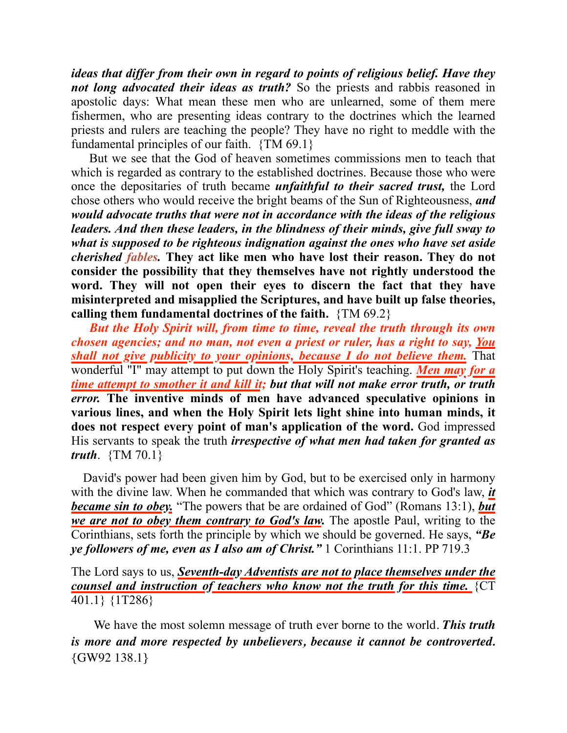*ideas that differ from their own in regard to points of religious belief. Have they not long advocated their ideas as truth?* So the priests and rabbis reasoned in apostolic days: What mean these men who are unlearned, some of them mere fishermen, who are presenting ideas contrary to the doctrines which the learned priests and rulers are teaching the people? They have no right to meddle with the fundamental principles of our faith. {TM 69.1}

 But we see that the God of heaven sometimes commissions men to teach that which is regarded as contrary to the established doctrines. Because those who were once the depositaries of truth became *unfaithful to their sacred trust,* the Lord chose others who would receive the bright beams of the Sun of Righteousness, *and would advocate truths that were not in accordance with the ideas of the religious leaders. And then these leaders, in the blindness of their minds, give full sway to what is supposed to be righteous indignation against the ones who have set aside cherished fables.* **They act like men who have lost their reason. They do not consider the possibility that they themselves have not rightly understood the word. They will not open their eyes to discern the fact that they have misinterpreted and misapplied the Scriptures, and have built up false theories, calling them fundamental doctrines of the faith.** {TM 69.2}

 *But the Holy Spirit will, from time to time, reveal the truth through its own chosen agencies; and no man, not even a priest or ruler, has a right to say, You shall not give publicity to your opinions, because I do not believe them.* That wonderful "I" may attempt to put down the Holy Spirit's teaching. *Men may for a time attempt to smother it and kill it; but that will not make error truth, or truth error.* **The inventive minds of men have advanced speculative opinions in various lines, and when the Holy Spirit lets light shine into human minds, it does not respect every point of man's application of the word.** God impressed His servants to speak the truth *irrespective of what men had taken for granted as truth*. {TM 70.1}

 David's power had been given him by God, but to be exercised only in harmony with the divine law. When he commanded that which was contrary to God's law, *it became sin to obey.* "The powers that be are ordained of God" (Romans 13:1), *but we are not to obey them contrary to God's law.* The apostle Paul, writing to the Corinthians, sets forth the principle by which we should be governed. He says, *"Be ye followers of me, even as I also am of Christ."* 1 Corinthians 11:1. PP 719.3

The Lord says to us, *Seventh-day Adventists are not to place themselves under the counsel and instruction of teachers who know not the truth for this time.* {CT 401.1} {1T286}

 We have the most solemn message of truth ever borne to the world. *This truth is more and more respected by unbelievers, because it cannot be controverted.* {GW92 138.1}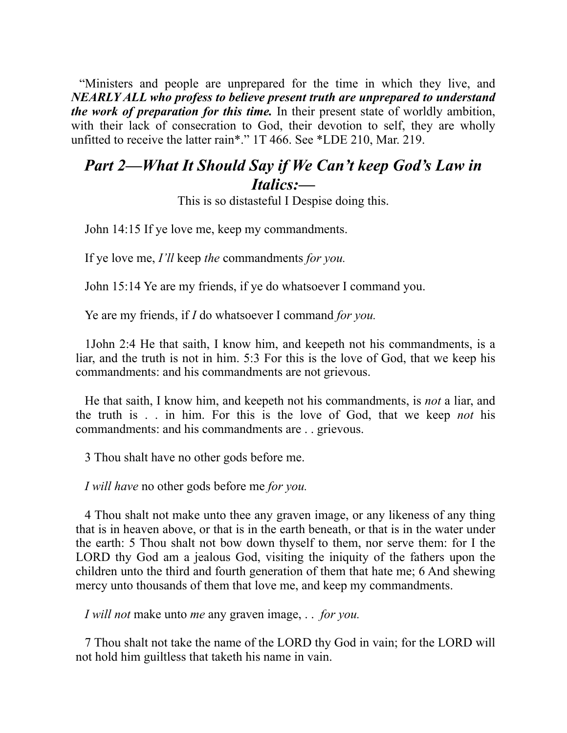"Ministers and people are unprepared for the time in which they live, and *NEARLY ALL who profess to believe present truth are unprepared to understand the work of preparation for this time.* In their present state of worldly ambition, with their lack of consecration to God, their devotion to self, they are wholly unfitted to receive the latter rain\*." 1T 466. See \*LDE 210, Mar. 219.

## *Part 2—What It Should Say if We Can't keep God's Law in Italics:—*

This is so distasteful I Despise doing this.

John 14:15 If ye love me, keep my commandments.

If ye love me, *I'll* keep *the* commandments *for you.*

John 15:14 Ye are my friends, if ye do whatsoever I command you.

Ye are my friends, if *I* do whatsoever I command *for you.*

1John 2:4 He that saith, I know him, and keepeth not his commandments, is a liar, and the truth is not in him. 5:3 For this is the love of God, that we keep his commandments: and his commandments are not grievous.

He that saith, I know him, and keepeth not his commandments, is *not* a liar, and the truth is . . in him. For this is the love of God, that we keep *not* his commandments: and his commandments are . . grievous.

3 Thou shalt have no other gods before me.

*I will have* no other gods before me *for you.*

4 Thou shalt not make unto thee any graven image, or any likeness of any thing that is in heaven above, or that is in the earth beneath, or that is in the water under the earth: 5 Thou shalt not bow down thyself to them, nor serve them: for I the LORD thy God am a jealous God, visiting the iniquity of the fathers upon the children unto the third and fourth generation of them that hate me; 6 And shewing mercy unto thousands of them that love me, and keep my commandments.

*I will not* make unto *me* any graven image, . . *for you.*

7 Thou shalt not take the name of the LORD thy God in vain; for the LORD will not hold him guiltless that taketh his name in vain.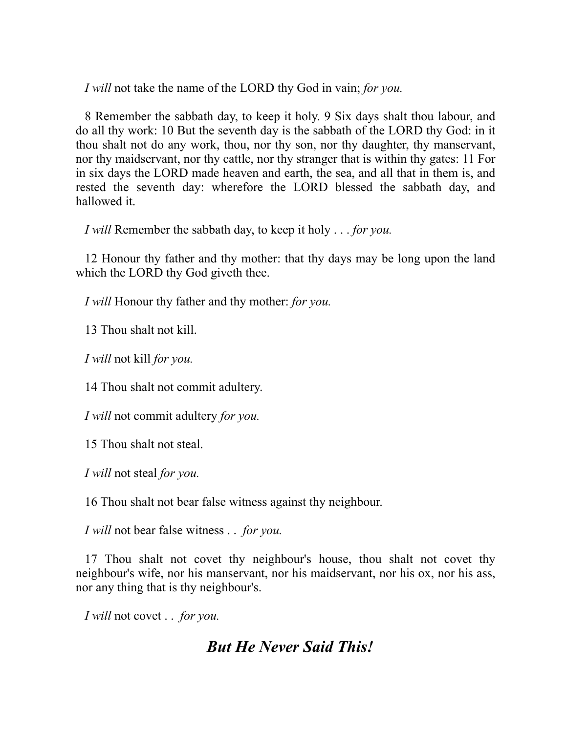*I will* not take the name of the LORD thy God in vain; *for you.*

8 Remember the sabbath day, to keep it holy. 9 Six days shalt thou labour, and do all thy work: 10 But the seventh day is the sabbath of the LORD thy God: in it thou shalt not do any work, thou, nor thy son, nor thy daughter, thy manservant, nor thy maidservant, nor thy cattle, nor thy stranger that is within thy gates: 11 For in six days the LORD made heaven and earth, the sea, and all that in them is, and rested the seventh day: wherefore the LORD blessed the sabbath day, and hallowed it.

*I will* Remember the sabbath day, to keep it holy . . . *for you.*

12 Honour thy father and thy mother: that thy days may be long upon the land which the LORD thy God giveth thee.

*I will* Honour thy father and thy mother: *for you.*

13 Thou shalt not kill.

*I will* not kill *for you.*

14 Thou shalt not commit adultery.

*I will* not commit adultery *for you.*

15 Thou shalt not steal.

*I will* not steal *for you.*

16 Thou shalt not bear false witness against thy neighbour.

*I will* not bear false witness . . *for you.*

17 Thou shalt not covet thy neighbour's house, thou shalt not covet thy neighbour's wife, nor his manservant, nor his maidservant, nor his ox, nor his ass, nor any thing that is thy neighbour's.

*I will* not covet . . *for you.*

## *But He Never Said This!*